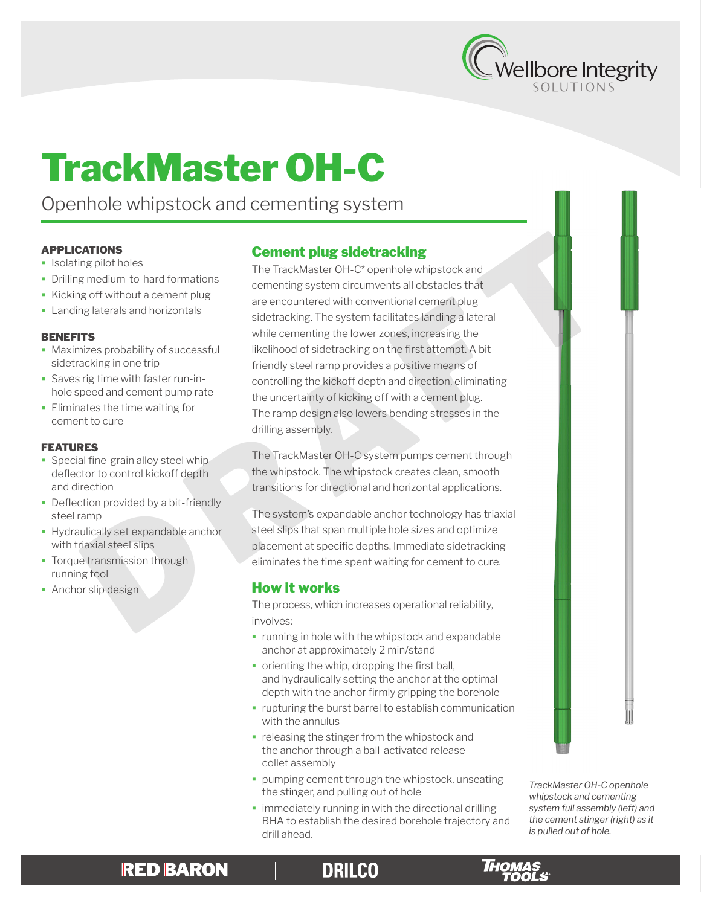

# TrackMaster OH-C

Openhole whipstock and cementing system

### APPLICATIONS

- **Isolating pilot holes**
- Drilling medium-to-hard formations
- Kicking off without a cement plug
- **Landing laterals and horizontals**

#### **BENEFITS**

- **Maximizes probability of successful** sidetracking in one trip
- Saves rig time with faster run-inhole speed and cement pump rate
- **Eliminates the time waiting for** cement to cure

### FEATURES

- **Special fine-grain alloy steel whip** deflector to control kickoff depth and direction
- **-** Deflection provided by a bit-friendly steel ramp
- Hydraulically set expandable anchor with triaxial steel slips
- Torque transmission through running tool
- **Anchor slip design**

# Cement plug sidetracking

The TrackMaster OH-C\* openhole whipstock and cementing system circumvents all obstacles that are encountered with conventional cement plug sidetracking. The system facilitates landing a lateral while cementing the lower zones, increasing the likelihood of sidetracking on the first attempt. A bitfriendly steel ramp provides a positive means of controlling the kickoff depth and direction, eliminating the uncertainty of kicking off with a cement plug. The ramp design also lowers bending stresses in the drilling assembly. **Examples 10**<br> **Example the Control of the Control of the Control of the Control of the Control of the Control of the Control of the Control of the Control of the Control of the Control of the Control of the Control of sid** 

The TrackMaster OH-C system pumps cement through the whipstock. The whipstock creates clean, smooth transitions for directional and horizontal applications.

The system's expandable anchor technology has triaxial steel slips that span multiple hole sizes and optimize placement at specific depths. Immediate sidetracking eliminates the time spent waiting for cement to cure.

## How it works

The process, which increases operational reliability, involves:

- **running in hole with the whipstock and expandable** anchor at approximately 2 min/stand
- orienting the whip, dropping the first ball, and hydraulically setting the anchor at the optimal depth with the anchor firmly gripping the borehole
- **rupturing the burst barrel to establish communication** with the annulus
- releasing the stinger from the whipstock and the anchor through a ball-activated release collet assembly
- **pumping cement through the whipstock, unseating** the stinger, and pulling out of hole
- **immediately running in with the directional drilling** BHA to establish the desired borehole trajectory and drill ahead.

*TrackMaster OH-C openhole whipstock and cementing system full assembly (left) and the cement stinger (right) as it is pulled out of hole.*

# **RED BARON**